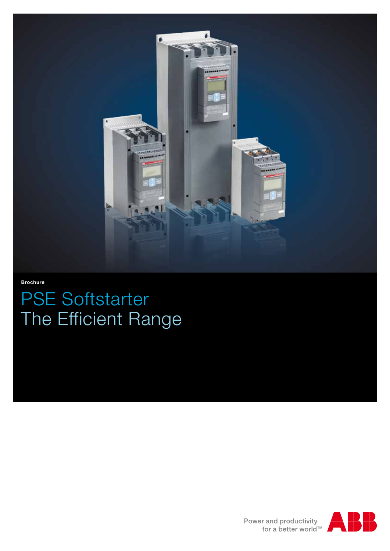

**Brochure**

# PSE Softstarter The Efficient Range

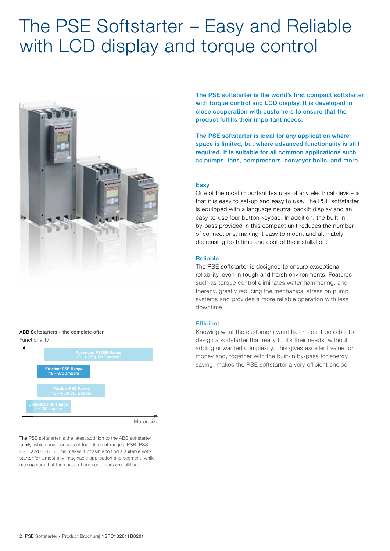# The PSE Softstarter – Easy and Reliable with LCD display and torque control



## Functionality ABB Softstarters – the complete offer



Motor size

The PSE softstarter is the latest addition to the ABB softstarter family, which now consists of four different ranges: PSR, PSS, PSE, and PST(B). This makes it possible to find a suitable softstarter for almost any imaginable application and segment, while making sure that the needs of our customers are fulfilled.

The PSE softstarter is the world's first compact softstarter with torque control and LCD display. It is developed in close cooperation with customers to ensure that the product fulfills their important needs.

The PSE softstarter is ideal for any application where space is limited, but where advanced functionality is still required. It is suitable for all common applications such as pumps, fans, compressors, conveyor belts, and more.

# **Easy**

One of the most important features of any electrical device is that it is easy to set-up and easy to use. The PSE softstarter is equipped with a language neutral backlit display and an easy-to-use four button keypad. In addition, the built-in by-pass provided in this compact unit reduces the number of connections, making it easy to mount and ultimately decreasing both time and cost of the installation.

## Reliable

The PSE softstarter is designed to ensure exceptional reliability, even in tough and harsh environments. Features such as torque control eliminates water hammering, and thereby, greatly reducing the mechanical stress on pump systems and provides a more reliable operation with less downtime.

### **Efficient**

Knowing what the customers want has made it possible to design a softstarter that really fulfills their needs, without adding unwanted complexity. This gives excellent value for money and, together with the built-in by-pass for energy saving, makes the PSE softstarter a very efficient choice.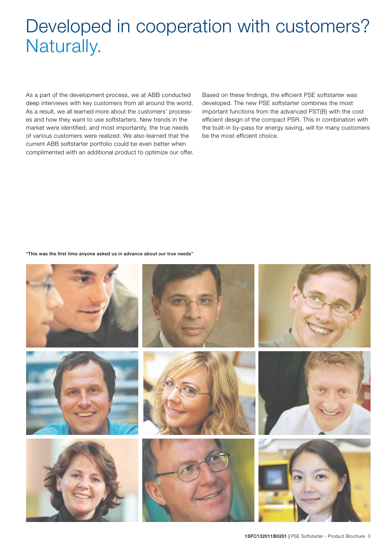# Developed in cooperation with customers? Naturally.

As a part of the development process, we at ABB conducted deep interviews with key customers from all around the world. As a result, we all learned more about the customers' processes and how they want to use softstarters. New trends in the market were identified, and most importantly, the true needs of various customers were realized. We also learned that the current ABB softstarter portfolio could be even better when complimented with an additional product to optimize our offer. Based on these findings, the efficient PSE softstarter was developed. The new PSE softstarter combines the most important functions from the advanced PST(B) with the cost efficient design of the compact PSR. This in combination with the built-in by-pass for energy saving, will for many customers be the most efficient choice.

#### "This was the first time anyone asked us in advance about our true needs"

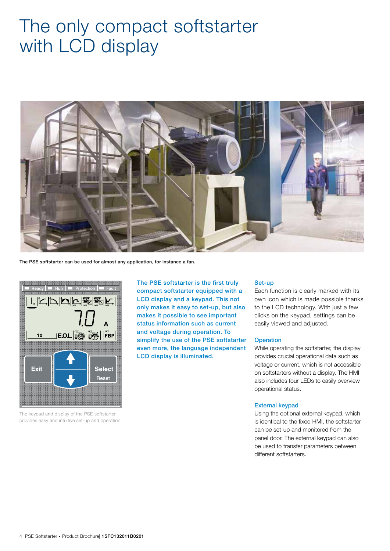# The only compact softstarter with LCD display



The PSE softstarter can be used for almost any application, for instance a fan.



The keypad and display of the PSE softstarter provides easy and intuitive set-up and operation.

The PSE softstarter is the first truly compact softstarter equipped with a LCD display and a keypad. This not only makes it easy to set-up, but also makes it possible to see important status information such as current and voltage during operation. To simplify the use of the PSE softstarter even more, the language independent LCD display is illuminated.

### Set-up

Each function is clearly marked with its own icon which is made possible thanks to the LCD technology. With just a few clicks on the keypad, settings can be easily viewed and adjusted.

# **Operation**

While operating the softstarter, the display provides crucial operational data such as voltage or current, which is not accessible on softstarters without a display. The HMI also includes four LEDs to easily overview operational status.

### External keypad

Using the optional external keypad, which is identical to the fixed HMI, the softstarter can be set-up and monitored from the panel door. The external keypad can also be used to transfer parameters between different softstarters.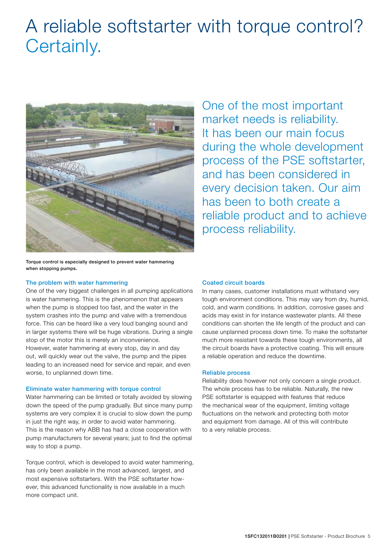# A reliable softstarter with torque control? Certainly.



One of the most important market needs is reliability. It has been our main focus during the whole development process of the PSE softstarter, and has been considered in every decision taken. Our aim has been to both create a reliable product and to achieve process reliability.

Torque control is especially designed to prevent water hammering when stopping pumps.

# The problem with water hammering

One of the very biggest challenges in all pumping applications is water hammering. This is the phenomenon that appears when the pump is stopped too fast, and the water in the system crashes into the pump and valve with a tremendous force. This can be heard like a very loud banging sound and in larger systems there will be huge vibrations. During a single stop of the motor this is merely an inconvenience. However, water hammering at every stop, day in and day out, will quickly wear out the valve, the pump and the pipes leading to an increased need for service and repair, and even worse, to unplanned down time.

# Eliminate water hammering with torque control

Water hammering can be limited or totally avoided by slowing down the speed of the pump gradually. But since many pump systems are very complex it is crucial to slow down the pump in just the right way, in order to avoid water hammering. This is the reason why ABB has had a close cooperation with pump manufacturers for several years; just to find the optimal way to stop a pump.

Torque control, which is developed to avoid water hammering, has only been available in the most advanced, largest, and most expensive softstarters. With the PSE softstarter however, this advanced functionality is now available in a much more compact unit.

# Coated circuit boards

In many cases, customer installations must withstand very tough environment conditions. This may vary from dry, humid, cold, and warm conditions. In addition, corrosive gases and acids may exist in for instance wastewater plants. All these conditions can shorten the life length of the product and can cause unplanned process down time. To make the softstarter much more resistant towards these tough environments, all the circuit boards have a protective coating. This will ensure a reliable operation and reduce the downtime.

# Reliable process

Reliability does however not only concern a single product. The whole process has to be reliable. Naturally, the new PSE softstarter is equipped with features that reduce the mechanical wear of the equipment, limiting voltage fluctuations on the network and protecting both motor and equipment from damage. All of this will contribute to a very reliable process.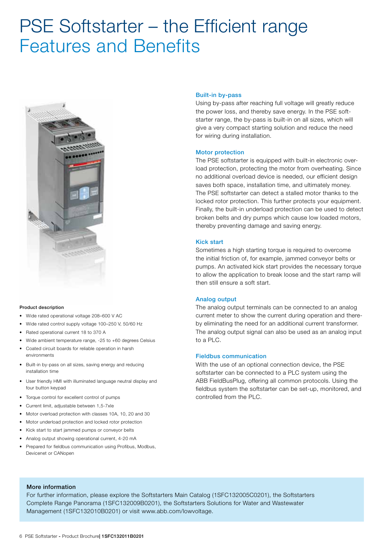# PSE Softstarter – the Efficient range Features and Benefits



### Product description

- Wide rated operational voltage 208–600 V AC
- Wide rated control supply voltage 100–250 V, 50/60 Hz
- Rated operational current 18 to 370 A
- Wide ambient temperature range, -25 to +60 degrees Celsius
- Coated circuit boards for reliable operation in harsh environments
- Built-in by-pass on all sizes, saving energy and reducing installation time
- User friendly HMI with illuminated language neutral display and four button keypad
- Torque control for excellent control of pumps
- Current limit, adjustable between 1,5-7xIe
- Motor overload protection with classes 10A, 10, 20 and 30
- Motor underload protection and locked rotor protection
- Kick start to start jammed pumps or conveyor belts
- Analog output showing operational current, 4-20 mA
- Prepared for fieldbus communication using Profibus, Modbus, Devicenet or CANopen

### Built-in by-pass

Using by-pass after reaching full voltage will greatly reduce the power loss, and thereby save energy. In the PSE softstarter range, the by-pass is built-in on all sizes, which will give a very compact starting solution and reduce the need for wiring during installation.

### Motor protection

The PSE softstarter is equipped with built-in electronic overload protection, protecting the motor from overheating. Since no additional overload device is needed, our efficient design saves both space, installation time, and ultimately money. The PSE softstarter can detect a stalled motor thanks to the locked rotor protection. This further protects your equipment. Finally, the built-in underload protection can be used to detect broken belts and dry pumps which cause low loaded motors, thereby preventing damage and saving energy.

### Kick start

Sometimes a high starting torque is required to overcome the initial friction of, for example, jammed conveyor belts or pumps. An activated kick start provides the necessary torque to allow the application to break loose and the start ramp will then still ensure a soft start.

# Analog output

The analog output terminals can be connected to an analog current meter to show the current during operation and thereby eliminating the need for an additional current transformer. The analog output signal can also be used as an analog input to a PLC.

# Fieldbus communication

With the use of an optional connection device, the PSE softstarter can be connected to a PLC system using the ABB FieldBusPlug, offering all common protocols. Using the fieldbus system the softstarter can be set-up, monitored, and controlled from the PLC.

### More information

For further information, please explore the Softstarters Main Catalog (1SFC132005C0201), the Softstarters Complete Range Panorama (1SFC132009B0201), the Softstarters Solutions for Water and Wastewater Management (1SFC132010B0201) or visit www.abb.com/lowvoltage.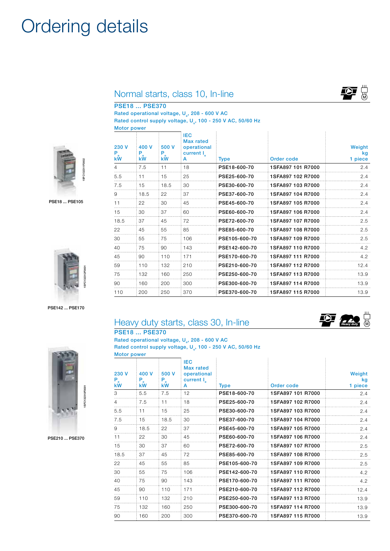# Ordering details

# Normal starts, class 10, In-line

500 V Pe kW

PSE18 ... PSE370

400 V Pe  $kW$ 

230 V Pe kW

Rated operational voltage, U<sub>2</sub>, 208 - 600 V AC Rated control supply voltage, U<sub>s</sub>, 100 - 250 V AC, 50/60 Hz Motor power

> IEC Max rated operational current I<sub>e</sub><br>A



PSE18 ... PSE105



PSE142 ... PSE170

# *Heavy duty*

Weight kg 1 piece



|                                                                                                                                       | Heavy duty starts, class 30, In-line |  |  |  |  |
|---------------------------------------------------------------------------------------------------------------------------------------|--------------------------------------|--|--|--|--|
|                                                                                                                                       | <b>PSE18  PSE370</b>                 |  |  |  |  |
| Rated operational voltage, U <sub>2</sub> , 208 - 600 V AC<br>Rated control supply voltage, U <sub>c</sub> , 100 - 250 V AC, 50/60 Hz |                                      |  |  |  |  |
|                                                                                                                                       |                                      |  |  |  |  |

| 230 V<br>$P_{e}$<br>kW | 400 V<br>P.<br>kW | 500 V<br>$P_{\rm e}$<br>kW | IFC.<br><b>Max rated</b><br>operational<br>current $I_a$<br>A | <b>Type</b>   | Order code        | Weight<br>kq<br>1 piece |
|------------------------|-------------------|----------------------------|---------------------------------------------------------------|---------------|-------------------|-------------------------|
| 3                      | 5.5               | 7.5                        | 12                                                            | PSE18-600-70  | 1SFA897 101 R7000 | 2.4                     |
| 4                      | 7.5               | 11                         | 18                                                            | PSE25-600-70  | 1SFA897 102 R7000 | 2.4                     |
| 5.5                    | 11                | 15                         | 25                                                            | PSE30-600-70  | 1SFA897 103 R7000 | 2.4                     |
| 7.5                    | 15                | 18.5                       | 30                                                            | PSE37-600-70  | 1SFA897 104 R7000 | 2.4                     |
| 9                      | 18.5              | 22                         | 37                                                            | PSE45-600-70  | 1SEA897 105 B7000 | 2.4                     |
| 11                     | 22                | 30                         | 45                                                            | PSE60-600-70  | 1SFA897 106 R7000 | 2.4                     |
| 15                     | 30                | 37                         | 60                                                            | PSE72-600-70  | 1SFA897 107 R7000 | 2.5                     |
| 18.5                   | 37                | 45                         | 72                                                            | PSE85-600-70  | 1SFA897 108 R7000 | 2.5                     |
| 22                     | 45                | 55                         | 85                                                            | PSE105-600-70 | 1SEA897 109 B7000 | 2.5                     |
| 30                     | 55                | 75                         | 106                                                           | PSE142-600-70 | 1SFA897 110 R7000 | 4.2                     |
| 40                     | 75                | 90                         | 143                                                           | PSE170-600-70 | 1SFA897 111 R7000 | 4.2                     |
| 45                     | 90                | 110                        | 171                                                           | PSE210-600-70 | 1SFA897 112 B7000 | 12.4                    |
| 59                     | 110               | 132                        | 210                                                           | PSE250-600-70 | 1SFA897 113 R7000 | 13.9                    |
| 75                     | 132               | 160                        | 250                                                           | PSE300-600-70 | 1SFA897 114 B7000 | 13.9                    |
| 90                     | 160               | 200                        | 300                                                           | PSE370-600-70 | 1SFA897 115 R7000 | 13.9                    |

Type **Order code** 

 7.5 11 18 PSE18-600-70 1SFA897 101 R7000 2.4 5.5 11 15 25 PSE25-600-70 1SFA897 102 R7000 2.4 7.5 15 18.5 30 PSE30-600-70 1SFA897 103 R7000 2.4 18.5 22 37 PSE37-600-70 1SFA897 104 R7000 2.4 22 30 45 PSE45-600-70 1SFA897 105 R7000 2.4 30 37 60 PSE60-600-70 1SFA897 106 R7000 2.4 18.5 37 45 72 PSE72-600-70 1SFA897 107 R7000 2.5 45 55 85 PSE85-600-70 1SFA897 108 R7000 2.5 55 75 106 PSE105-600-70 1SFA897 109 R7000 2.5 75 90 143 PSE142-600-70 1SFA897 110 R7000 4.2 90 110 171 PSE170-600-70 1SFA897 111 R7000 4.2 110 132 210 PSE210-600-70 1SFA897 112 R7000 12.4 132 160 250 PSE250-600-70 1SFA897 113 R7000 13.9 160 200 300 PSE300-600-70 1SFA897 114 R7000 13.9 110 200 250 370 **PSE370-600-70 1SFA897 115 R7000** 13.9